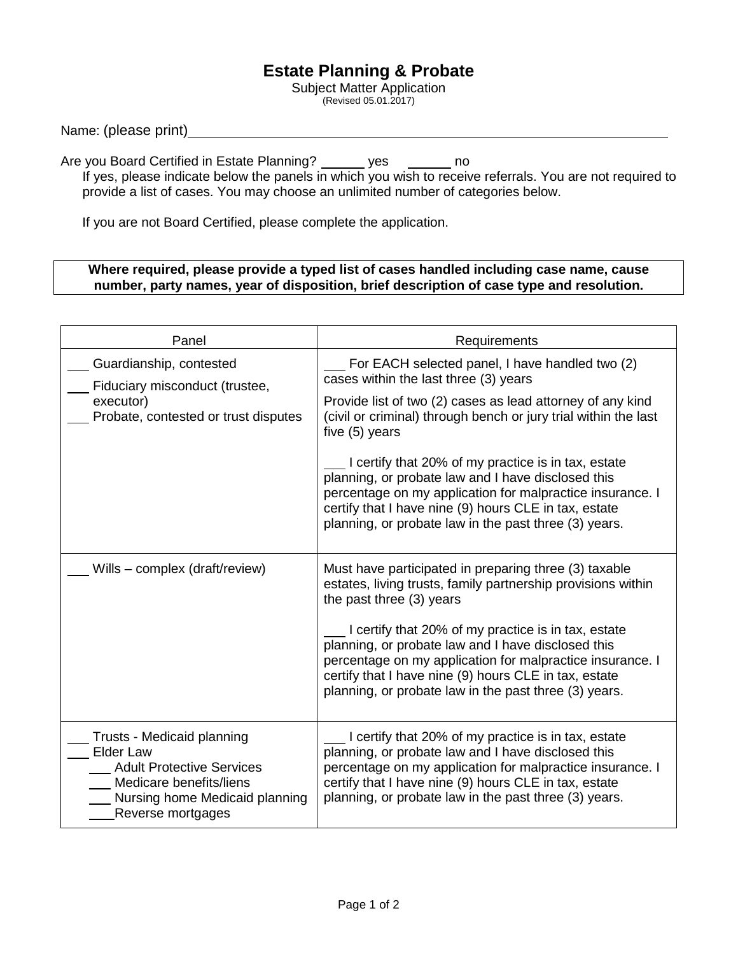## **Estate Planning & Probate**

Subject Matter Application (Revised 05.01.2017)

Name: (please print)

Are you Board Certified in Estate Planning? \_\_\_\_\_\_ yes \_\_\_\_\_\_\_ no If yes, please indicate below the panels in which you wish to receive referrals. You are not required to provide a list of cases. You may choose an unlimited number of categories below.

If you are not Board Certified, please complete the application.

## **Where required, please provide a typed list of cases handled including case name, cause number, party names, year of disposition, brief description of case type and resolution.**

| Panel                                                                                                                                                                | Requirements                                                                                                                                                                                                                                                                             |
|----------------------------------------------------------------------------------------------------------------------------------------------------------------------|------------------------------------------------------------------------------------------------------------------------------------------------------------------------------------------------------------------------------------------------------------------------------------------|
| Guardianship, contested<br>Fiduciary misconduct (trustee,<br>executor)<br>Probate, contested or trust disputes                                                       | For EACH selected panel, I have handled two (2)<br>cases within the last three (3) years                                                                                                                                                                                                 |
|                                                                                                                                                                      | Provide list of two (2) cases as lead attorney of any kind<br>(civil or criminal) through bench or jury trial within the last<br>five (5) years                                                                                                                                          |
|                                                                                                                                                                      | I certify that 20% of my practice is in tax, estate<br>planning, or probate law and I have disclosed this<br>percentage on my application for malpractice insurance. I<br>certify that I have nine (9) hours CLE in tax, estate<br>planning, or probate law in the past three (3) years. |
| Wills – complex (draft/review)                                                                                                                                       | Must have participated in preparing three (3) taxable<br>estates, living trusts, family partnership provisions within<br>the past three (3) years                                                                                                                                        |
|                                                                                                                                                                      | I certify that 20% of my practice is in tax, estate<br>planning, or probate law and I have disclosed this<br>percentage on my application for malpractice insurance. I<br>certify that I have nine (9) hours CLE in tax, estate<br>planning, or probate law in the past three (3) years. |
| Trusts - Medicaid planning<br><b>Elder Law</b><br><b>Adult Protective Services</b><br>Medicare benefits/liens<br>Nursing home Medicaid planning<br>Reverse mortgages | I certify that 20% of my practice is in tax, estate<br>planning, or probate law and I have disclosed this<br>percentage on my application for malpractice insurance. I<br>certify that I have nine (9) hours CLE in tax, estate<br>planning, or probate law in the past three (3) years. |